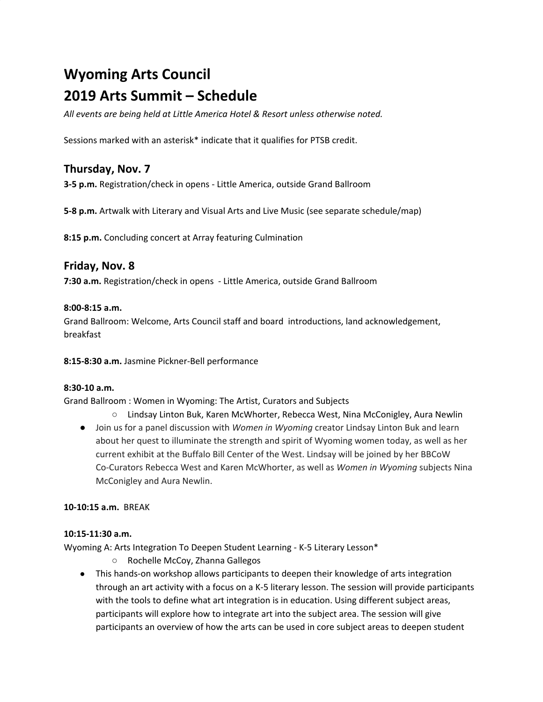# **Wyoming Arts Council 2019 Arts Summit – Schedule**

*All events are being held at Little America Hotel & Resort unless otherwise noted.*

Sessions marked with an asterisk\* indicate that it qualifies for PTSB credit.

# **Thursday, Nov. 7**

**3-5 p.m.** Registration/check in opens - Little America, outside Grand Ballroom

**5-8 p.m.** Artwalk with Literary and Visual Arts and Live Music (see separate schedule/map)

**8:15 p.m.** Concluding concert at Array featuring Culmination

# **Friday, Nov. 8**

**7:30 a.m.** Registration/check in opens - Little America, outside Grand Ballroom

### **8:00-8:15 a.m.**

Grand Ballroom: Welcome, Arts Council staff and board introductions, land acknowledgement, breakfast

**8:15-8:30 a.m.** Jasmine Pickner-Bell performance

# **8:30-10 a.m.**

Grand Ballroom : Women in Wyoming: The Artist, Curators and Subjects

- Lindsay Linton Buk, Karen McWhorter, Rebecca West, Nina McConigley, Aura Newlin
- Join us for a panel discussion with *Women in Wyoming* creator Lindsay Linton Buk and learn about her quest to illuminate the strength and spirit of Wyoming women today, as well as her current exhibit at the Buffalo Bill Center of the West. Lindsay will be joined by her BBCoW Co-Curators Rebecca West and Karen McWhorter, as well as *Women in Wyoming* subjects Nina McConigley and Aura Newlin.

# **10-10:15 a.m.** BREAK

#### **10:15-11:30 a.m.**

Wyoming A: Arts Integration To Deepen Student Learning - K-5 Literary Lesson\*

- Rochelle McCoy, Zhanna Gallegos
- This hands-on workshop allows participants to deepen their knowledge of arts integration through an art activity with a focus on a K-5 literary lesson. The session will provide participants with the tools to define what art integration is in education. Using different subject areas, participants will explore how to integrate art into the subject area. The session will give participants an overview of how the arts can be used in core subject areas to deepen student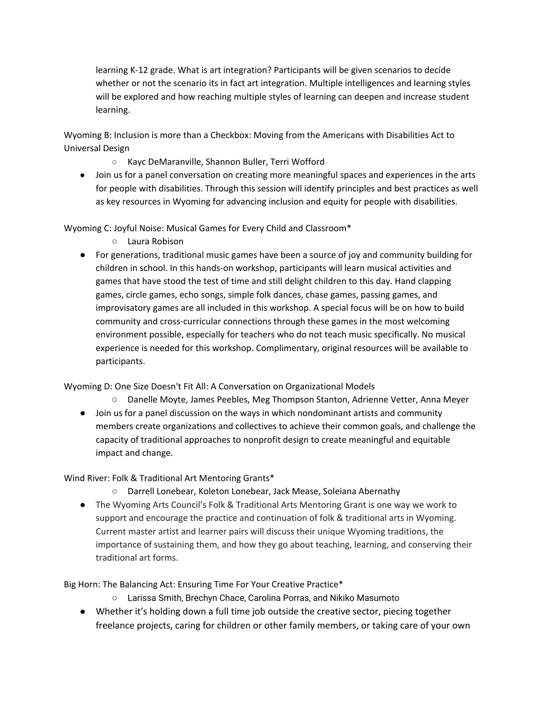learning K-12 grade. What is art integration? Participants will be given scenarios to decide whether or not the scenario its in fact art integration. Multiple intelligences and learning styles will be explored and how reaching multiple styles of learning can deepen and increase student learning.

Wyoming B: Inclusion is more than a Checkbox: Moving from the Americans with Disabilities Act to Universal Design

- Kayc DeMaranville, Shannon Buller, Terri Wofford
- Join us for a panel conversation on creating more meaningful spaces and experiences in the arts for people with disabilities. Through this session will identify principles and best practices as well as key resources in Wyoming for advancing inclusion and equity for people with disabilities.

Wyoming C: Joyful Noise: Musical Games for Every Child and Classroom\*

- Laura Robison
- For generations, traditional music games have been a source of joy and community building for children in school. In this hands-on workshop, participants will learn musical activities and games that have stood the test of time and still delight children to this day. Hand clapping games, circle games, echo songs, simple folk dances, chase games, passing games, and improvisatory games are all included in this workshop. A special focus will be on how to build community and cross-curricular connections through these games in the most welcoming environment possible, especially for teachers who do not teach music specifically. No musical experience is needed for this workshop. Complimentary, original resources will be available to participants.

Wyoming D: One Size Doesn't Fit All: A Conversation on Organizational Models

- Danelle Moyte, James Peebles, Meg Thompson Stanton, Adrienne Vetter, Anna Meyer
- Join us for a panel discussion on the ways in which nondominant artists and community members create organizations and collectives to achieve their common goals, and challenge the capacity of traditional approaches to nonprofit design to create meaningful and equitable impact and change.

Wind River: Folk & Traditional Art Mentoring Grants\*

- Darrell Lonebear, Koleton Lonebear, Jack Mease, Soleiana Abernathy
- The Wyoming Arts Council's Folk & Traditional Arts Mentoring Grant is one way we work to support and encourage the practice and continuation of folk & traditional arts in Wyoming. Current master artist and learner pairs will discuss their unique Wyoming traditions, the importance of sustaining them, and how they go about teaching, learning, and conserving their traditional art forms.

Big Horn: The Balancing Act: Ensuring Time For Your Creative Practice\*

- Larissa Smith, Brechyn Chace, Carolina Porras, and Nikiko Masumoto
- Whether it's holding down a full time job outside the creative sector, piecing together freelance projects, caring for children or other family members, or taking care of your own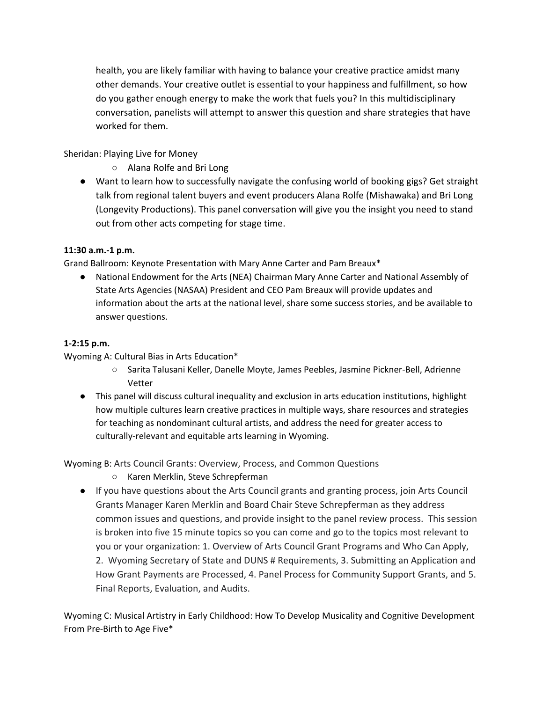health, you are likely familiar with having to balance your creative practice amidst many other demands. Your creative outlet is essential to your happiness and fulfillment, so how do you gather enough energy to make the work that fuels you? In this multidisciplinary conversation, panelists will attempt to answer this question and share strategies that have worked for them.

Sheridan: Playing Live for Money

- Alana Rolfe and Bri Long
- Want to learn how to successfully navigate the confusing world of booking gigs? Get straight talk from regional talent buyers and event producers Alana Rolfe (Mishawaka) and Bri Long (Longevity Productions). This panel conversation will give you the insight you need to stand out from other acts competing for stage time.

# **11:30 a.m.-1 p.m.**

Grand Ballroom: Keynote Presentation with Mary Anne Carter and Pam Breaux\*

● National Endowment for the Arts (NEA) Chairman Mary Anne Carter and National Assembly of State Arts Agencies (NASAA) President and CEO Pam Breaux will provide updates and information about the arts at the national level, share some success stories, and be available to answer questions.

# **1-2:15 p.m.**

Wyoming A: Cultural Bias in Arts Education\*

- Sarita Talusani Keller, Danelle Moyte, James Peebles, Jasmine Pickner-Bell, Adrienne Vetter
- This panel will discuss cultural inequality and exclusion in arts education institutions, highlight how multiple cultures learn creative practices in multiple ways, share resources and strategies for teaching as nondominant cultural artists, and address the need for greater access to culturally-relevant and equitable arts learning in Wyoming.

Wyoming B: Arts Council Grants: Overview, Process, and Common Questions

- Karen Merklin, Steve Schrepferman
- If you have questions about the Arts Council grants and granting process, join Arts Council Grants Manager Karen Merklin and Board Chair Steve Schrepferman as they address common issues and questions, and provide insight to the panel review process. This session is broken into five 15 minute topics so you can come and go to the topics most relevant to you or your organization: 1. Overview of Arts Council Grant Programs and Who Can Apply, 2. Wyoming Secretary of State and DUNS # Requirements, 3. Submitting an Application and How Grant Payments are Processed, 4. Panel Process for Community Support Grants, and 5. Final Reports, Evaluation, and Audits.

Wyoming C: Musical Artistry in Early Childhood: How To Develop Musicality and Cognitive Development From Pre-Birth to Age Five\*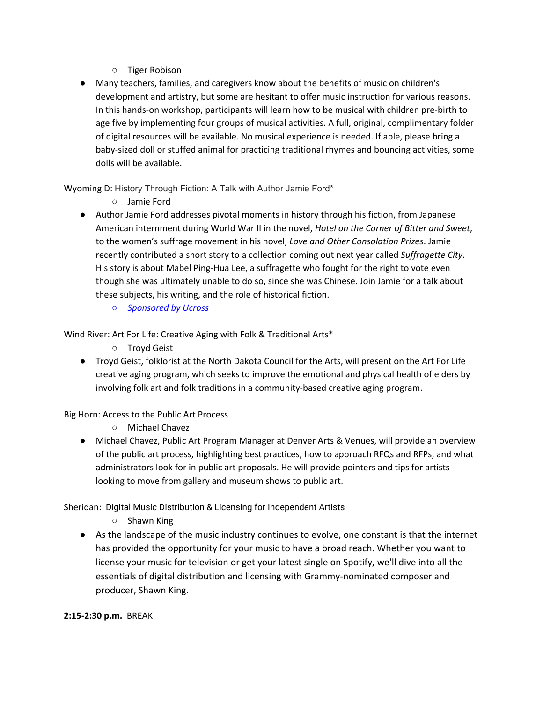- Tiger Robison
- Many teachers, families, and caregivers know about the benefits of music on children's development and artistry, but some are hesitant to offer music instruction for various reasons. In this hands-on workshop, participants will learn how to be musical with children pre-birth to age five by implementing four groups of musical activities. A full, original, complimentary folder of digital resources will be available. No musical experience is needed. If able, please bring a baby-sized doll or stuffed animal for practicing traditional rhymes and bouncing activities, some dolls will be available.

Wyoming D: History Through Fiction: A Talk with Author Jamie Ford\*

- Jamie Ford
- Author Jamie Ford addresses pivotal moments in history through his fiction, from Japanese American internment during World War II in the novel, *Hotel on the Corner of Bitter and Sweet*, to the women's suffrage movement in his novel, *Love and Other Consolation Prizes*. Jamie recently contributed a short story to a collection coming out next year called *Suffragette City*. His story is about Mabel Ping-Hua Lee, a suffragette who fought for the right to vote even though she was ultimately unable to do so, since she was Chinese. Join Jamie for a talk about these subjects, his writing, and the role of historical fiction.
	- *○ Sponsored by Ucross*

Wind River: Art For Life: Creative Aging with Folk & Traditional Arts\*

- Troyd Geist
- Troyd Geist, folklorist at the North Dakota Council for the Arts, will present on the Art For Life creative aging program, which seeks to improve the emotional and physical health of elders by involving folk art and folk traditions in a community-based creative aging program.

# Big Horn: Access to the Public Art Process

- Michael Chavez
- Michael Chavez, Public Art Program Manager at Denver Arts & Venues, will provide an overview of the public art process, highlighting best practices, how to approach RFQs and RFPs, and what administrators look for in public art proposals. He will provide pointers and tips for artists looking to move from gallery and museum shows to public art.

Sheridan: Digital Music Distribution & Licensing for Independent Artists

- Shawn King
- As the landscape of the music industry continues to evolve, one constant is that the internet has provided the opportunity for your music to have a broad reach. Whether you want to license your music for television or get your latest single on Spotify, we'll dive into all the essentials of digital distribution and licensing with Grammy-nominated composer and producer, Shawn King.

**2:15-2:30 p.m.** BREAK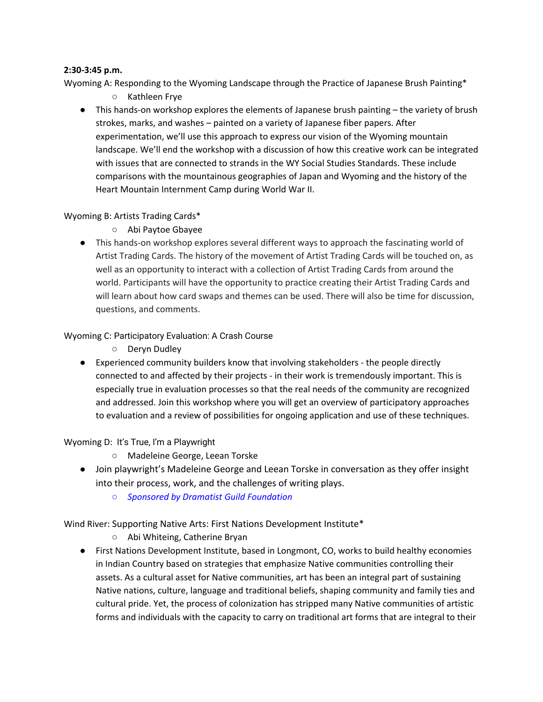### **2:30-3:45 p.m.**

Wyoming A: Responding to the Wyoming Landscape through the Practice of Japanese Brush Painting\*

- Kathleen Frye
- This hands-on workshop explores the elements of Japanese brush painting the variety of brush strokes, marks, and washes – painted on a variety of Japanese fiber papers. After experimentation, we'll use this approach to express our vision of the Wyoming mountain landscape. We'll end the workshop with a discussion of how this creative work can be integrated with issues that are connected to strands in the WY Social Studies Standards. These include comparisons with the mountainous geographies of Japan and Wyoming and the history of the Heart Mountain Internment Camp during World War II.

# Wyoming B: Artists Trading Cards\*

- Abi Paytoe Gbayee
- This hands-on workshop explores several different ways to approach the fascinating world of Artist Trading Cards. The history of the movement of Artist Trading Cards will be touched on, as well as an opportunity to interact with a collection of Artist Trading Cards from around the world. Participants will have the opportunity to practice creating their Artist Trading Cards and will learn about how card swaps and themes can be used. There will also be time for discussion, questions, and comments.

# Wyoming C: Participatory Evaluation: A Crash Course

- Deryn Dudley
- Experienced community builders know that involving stakeholders the people directly connected to and affected by their projects - in their work is tremendously important. This is especially true in evaluation processes so that the real needs of the community are recognized and addressed. Join this workshop where you will get an overview of participatory approaches to evaluation and a review of possibilities for ongoing application and use of these techniques.

# Wyoming D: It's True, I'm a Playwright

- Madeleine George, Leean Torske
- Join playwright's Madeleine George and Leean Torske in conversation as they offer insight into their process, work, and the challenges of writing plays.
	- *○ Sponsored by Dramatist Guild Foundation*

Wind River: Supporting Native Arts: First Nations Development Institute\*

- Abi Whiteing, Catherine Bryan
- First Nations Development Institute, based in Longmont, CO, works to build healthy economies in Indian Country based on strategies that emphasize Native communities controlling their assets. As a cultural asset for Native communities, art has been an integral part of sustaining Native nations, culture, language and traditional beliefs, shaping community and family ties and cultural pride. Yet, the process of colonization has stripped many Native communities of artistic forms and individuals with the capacity to carry on traditional art forms that are integral to their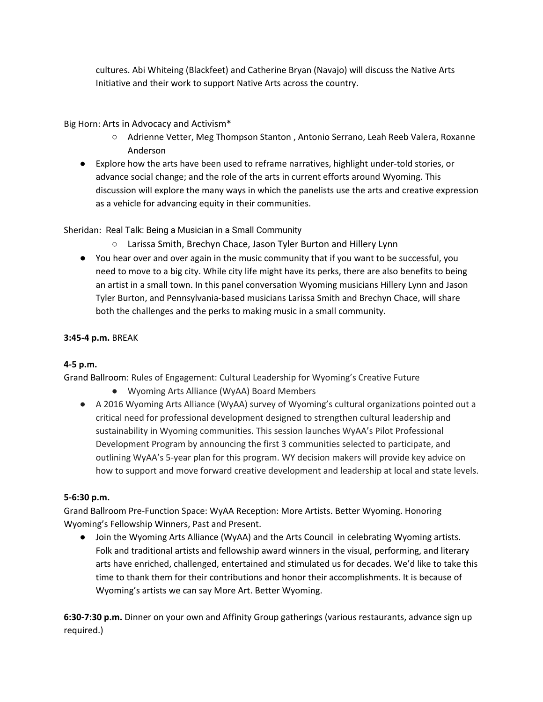cultures. Abi Whiteing (Blackfeet) and Catherine Bryan (Navajo) will discuss the Native Arts Initiative and their work to support Native Arts across the country.

# Big Horn: Arts in Advocacy and Activism\*

- Adrienne Vetter, Meg Thompson Stanton , Antonio Serrano, Leah Reeb Valera, Roxanne Anderson
- Explore how the arts have been used to reframe narratives, highlight under-told stories, or advance social change; and the role of the arts in current efforts around Wyoming. This discussion will explore the many ways in which the panelists use the arts and creative expression as a vehicle for advancing equity in their communities.

# Sheridan: Real Talk: Being a Musician in a Small Community

- Larissa Smith, Brechyn Chace, Jason Tyler Burton and Hillery Lynn
- You hear over and over again in the music community that if you want to be successful, you need to move to a big city. While city life might have its perks, there are also benefits to being an artist in a small town. In this panel conversation Wyoming musicians Hillery Lynn and Jason Tyler Burton, and Pennsylvania-based musicians Larissa Smith and Brechyn Chace, will share both the challenges and the perks to making music in a small community.

# **3:45-4 p.m.** BREAK

# **4-5 p.m.**

Grand Ballroom: Rules of Engagement: Cultural Leadership for Wyoming's Creative Future

- Wyoming Arts Alliance (WyAA) Board Members
- A 2016 Wyoming Arts Alliance (WyAA) survey of Wyoming's cultural organizations pointed out a critical need for professional development designed to strengthen cultural leadership and sustainability in Wyoming communities. This session launches WyAA's Pilot Professional Development Program by announcing the first 3 communities selected to participate, and outlining WyAA's 5-year plan for this program. WY decision makers will provide key advice on how to support and move forward creative development and leadership at local and state levels.

# **5-6:30 p.m.**

Grand Ballroom Pre-Function Space: WyAA Reception: More Artists. Better Wyoming. Honoring Wyoming's Fellowship Winners, Past and Present.

● Join the Wyoming Arts Alliance (WyAA) and the Arts Council in celebrating Wyoming artists. Folk and traditional artists and fellowship award winners in the visual, performing, and literary arts have enriched, challenged, entertained and stimulated us for decades. We'd like to take this time to thank them for their contributions and honor their accomplishments. It is because of Wyoming's artists we can say More Art. Better Wyoming.

**6:30-7:30 p.m.** Dinner on your own and Affinity Group gatherings (various restaurants, advance sign up required.)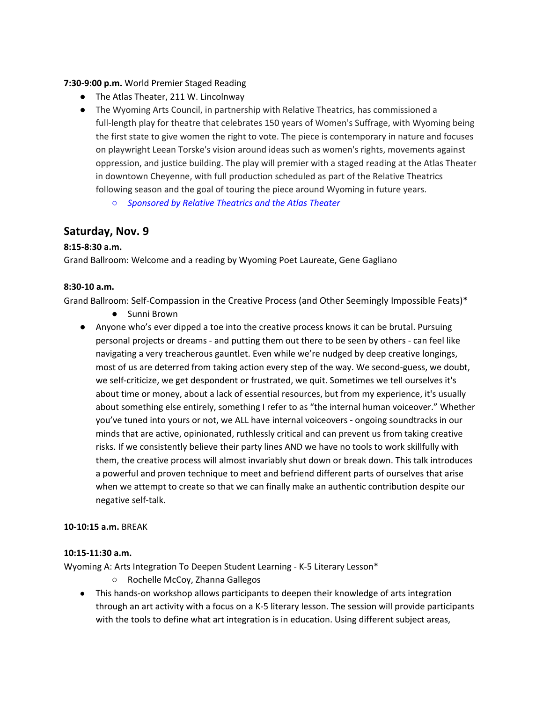**7:30-9:00 p.m.** World Premier Staged Reading

- The Atlas Theater, 211 W. Lincolnway
- The Wyoming Arts Council, in partnership with Relative Theatrics, has commissioned a full-length play for theatre that celebrates 150 years of Women's Suffrage, with Wyoming being the first state to give women the right to vote. The piece is contemporary in nature and focuses on playwright Leean Torske's vision around ideas such as women's rights, movements against oppression, and justice building. The play will premier with a staged reading at the Atlas Theater in downtown Cheyenne, with full production scheduled as part of the Relative Theatrics following season and the goal of touring the piece around Wyoming in future years.
	- *○ Sponsored by Relative Theatrics and the Atlas Theater*

# **Saturday, Nov. 9**

# **8:15-8:30 a.m.**

Grand Ballroom: Welcome and a reading by Wyoming Poet Laureate, Gene Gagliano

### **8:30-10 a.m.**

Grand Ballroom: Self-Compassion in the Creative Process (and Other Seemingly Impossible Feats)\*

- Sunni Brown
- Anyone who's ever dipped a toe into the creative process knows it can be brutal. Pursuing personal projects or dreams - and putting them out there to be seen by others - can feel like navigating a very treacherous gauntlet. Even while we're nudged by deep creative longings, most of us are deterred from taking action every step of the way. We second-guess, we doubt, we self-criticize, we get despondent or frustrated, we quit. Sometimes we tell ourselves it's about time or money, about a lack of essential resources, but from my experience, it's usually about something else entirely, something I refer to as "the internal human voiceover." Whether you've tuned into yours or not, we ALL have internal voiceovers - ongoing soundtracks in our minds that are active, opinionated, ruthlessly critical and can prevent us from taking creative risks. If we consistently believe their party lines AND we have no tools to work skillfully with them, the creative process will almost invariably shut down or break down. This talk introduces a powerful and proven technique to meet and befriend different parts of ourselves that arise when we attempt to create so that we can finally make an authentic contribution despite our negative self-talk.

#### **10-10:15 a.m.** BREAK

#### **10:15-11:30 a.m.**

Wyoming A: Arts Integration To Deepen Student Learning - K-5 Literary Lesson\*

- Rochelle McCoy, Zhanna Gallegos
- This hands-on workshop allows participants to deepen their knowledge of arts integration through an art activity with a focus on a K-5 literary lesson. The session will provide participants with the tools to define what art integration is in education. Using different subject areas,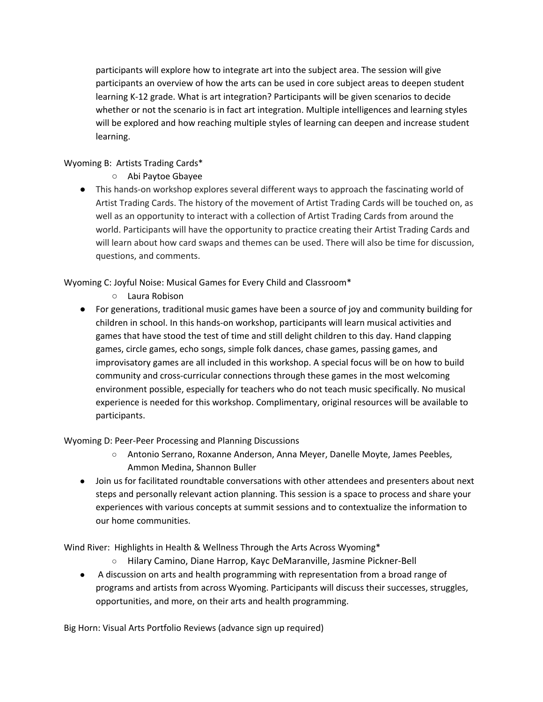participants will explore how to integrate art into the subject area. The session will give participants an overview of how the arts can be used in core subject areas to deepen student learning K-12 grade. What is art integration? Participants will be given scenarios to decide whether or not the scenario is in fact art integration. Multiple intelligences and learning styles will be explored and how reaching multiple styles of learning can deepen and increase student learning.

# Wyoming B: Artists Trading Cards\*

- Abi Paytoe Gbayee
- This hands-on workshop explores several different ways to approach the fascinating world of Artist Trading Cards. The history of the movement of Artist Trading Cards will be touched on, as well as an opportunity to interact with a collection of Artist Trading Cards from around the world. Participants will have the opportunity to practice creating their Artist Trading Cards and will learn about how card swaps and themes can be used. There will also be time for discussion, questions, and comments.

Wyoming C: Joyful Noise: Musical Games for Every Child and Classroom\*

- Laura Robison
- For generations, traditional music games have been a source of joy and community building for children in school. In this hands-on workshop, participants will learn musical activities and games that have stood the test of time and still delight children to this day. Hand clapping games, circle games, echo songs, simple folk dances, chase games, passing games, and improvisatory games are all included in this workshop. A special focus will be on how to build community and cross-curricular connections through these games in the most welcoming environment possible, especially for teachers who do not teach music specifically. No musical experience is needed for this workshop. Complimentary, original resources will be available to participants.

# Wyoming D: Peer-Peer Processing and Planning Discussions

- Antonio Serrano, Roxanne Anderson, Anna Meyer, Danelle Moyte, James Peebles, Ammon Medina, Shannon Buller
- Join us for facilitated roundtable conversations with other attendees and presenters about next steps and personally relevant action planning. This session is a space to process and share your experiences with various concepts at summit sessions and to contextualize the information to our home communities.

Wind River: Highlights in Health & Wellness Through the Arts Across Wyoming\*

- Hilary Camino, Diane Harrop, Kayc DeMaranville, Jasmine Pickner-Bell
- A discussion on arts and health programming with representation from a broad range of programs and artists from across Wyoming. Participants will discuss their successes, struggles, opportunities, and more, on their arts and health programming.

Big Horn: Visual Arts Portfolio Reviews (advance sign up required)